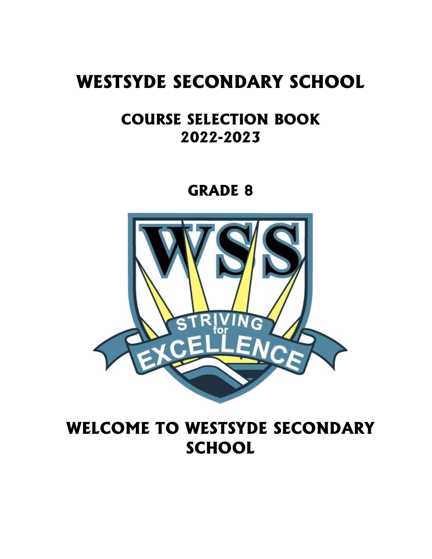# **WESTSYDE SECONDARY SCHOOL**

# **COURSE SELECTION BOOK 2022-2023**

**GRADE 8**



# **WELCOME TO WESTSYDE SECONDARY SCHOOL**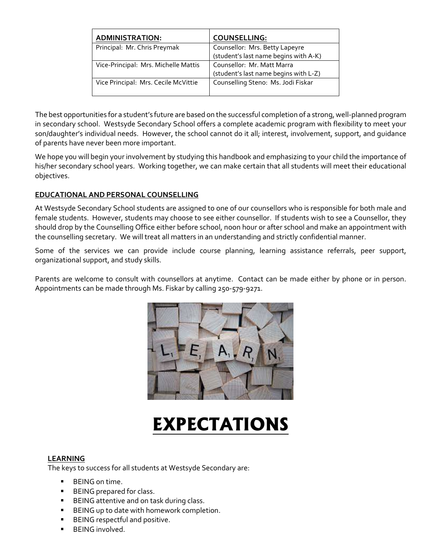| <b>ADMINISTRATION:</b>               | <b>COUNSELLING:</b>                   |
|--------------------------------------|---------------------------------------|
| Principal: Mr. Chris Preymak         | Counsellor: Mrs. Betty Lapeyre        |
|                                      | (student's last name begins with A-K) |
| Vice-Principal: Mrs. Michelle Mattis | Counsellor: Mr. Matt Marra            |
|                                      | (student's last name begins with L-Z) |
| Vice Principal: Mrs. Cecile McVittie | Counselling Steno: Ms. Jodi Fiskar    |
|                                      |                                       |

The best opportunities for a student's future are based on the successful completion of a strong, well-planned program in secondary school. Westsyde Secondary School offers a complete academic program with flexibility to meet your son/daughter's individual needs. However, the school cannot do it all; interest, involvement, support, and guidance of parents have never been more important.

We hope you will begin your involvement by studying this handbook and emphasizing to your child the importance of his/her secondary school years. Working together, we can make certain that all students will meet their educational objectives.

# **EDUCATIONAL AND PERSONAL COUNSELLING**

At Westsyde Secondary School students are assigned to one of our counsellors who is responsible for both male and female students. However, students may choose to see either counsellor. If students wish to see a Counsellor, they should drop by the Counselling Office either before school, noon hour or after school and make an appointment with the counselling secretary. We will treat all matters in an understanding and strictly confidential manner.

Some of the services we can provide include course planning, learning assistance referrals, peer support, organizational support, and study skills.

Parents are welcome to consult with counsellors at anytime. Contact can be made either by phone or in person. Appointments can be made through Ms. Fiskar by calling 250-579-9271.



# **EXPECTATIONS**

# **LEARNING**

The keys to success for all students at Westsyde Secondary are:

- **BEING** on time.
- BEING prepared for class.
- BEING attentive and on task during class.
- BEING up to date with homework completion.
- BEING respectful and positive.
- BEING involved.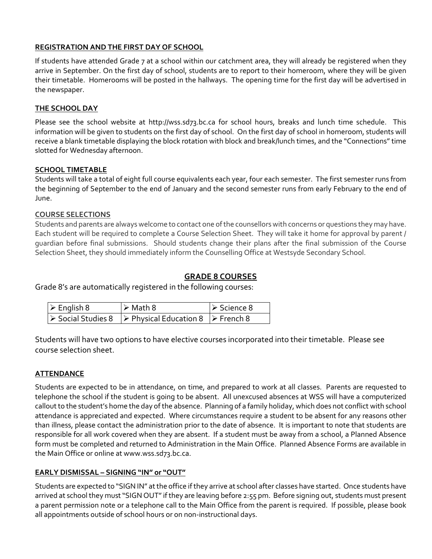# **REGISTRATION AND THE FIRST DAY OF SCHOOL**

If students have attended Grade 7 at a school within our catchment area, they will already be registered when they arrive in September. On the first day of school, students are to report to their homeroom, where they will be given their timetable. Homerooms will be posted in the hallways. The opening time for the first day will be advertised in the newspaper.

# **THE SCHOOL DAY**

Please see the school website at http://wss.sd73.bc.ca for school hours, breaks and lunch time schedule. This information will be given to students on the first day of school. On the first day of school in homeroom, students will receive a blank timetable displaying the block rotation with block and break/lunch times, and the "Connections"time slotted for Wednesday afternoon.

# **SCHOOL TIMETABLE**

Students will take a total of eight full course equivalents each year, four each semester. The first semester runs from the beginning of September to the end of January and the second semester runs from early February to the end of June.

# **COURSE SELECTIONS**

Students and parents are always welcome to contact one of the counsellors with concerns or questions they may have. Each student will be required to complete a Course Selection Sheet. They will take it home for approval by parent / guardian before final submissions. Should students change their plans after the final submission of the Course Selection Sheet, they should immediately inform the Counselling Office at Westsyde Secondary School.

# **GRADE 8 COURSES**

Grade 8's are automatically registered in the following courses:

| $\triangleright$ English 8 | $\triangleright$ Math 8                                                                           | $\triangleright$ Science 8 |
|----------------------------|---------------------------------------------------------------------------------------------------|----------------------------|
|                            | $\triangleright$ Social Studies 8 $\triangleright$ Physical Education 8 $\triangleright$ French 8 |                            |

Students will have two options to have elective courses incorporated into their timetable. Please see course selection sheet.

# **ATTENDANCE**

Students are expected to be in attendance, on time, and prepared to work at all classes. Parents are requested to telephone the school if the student is going to be absent. All unexcused absences at WSS will have a computerized callout to the student's home the day of the absence. Planning of a family holiday, which does not conflict with school attendance is appreciated and expected. Where circumstances require a student to be absent for any reasons other than illness, please contact the administration prior to the date of absence. It is important to note that students are responsible for all work covered when they are absent. If a student must be away from a school, a Planned Absence form must be completed and returned to Administration in the Main Office. Planned Absence Forms are available in the Main Office or online at www.wss.sd73.bc.ca.

# **EARLY DISMISSAL – SIGNING "IN" or "OUT"**

Students are expected to "SIGN IN" at the office if they arrive at school after classes have started. Once students have arrived at school they must "SIGN OUT" if they are leaving before 2:55 pm. Before signing out, students must present a parent permission note or a telephone call to the Main Office from the parent is required. If possible, please book all appointments outside of school hours or on non-instructional days.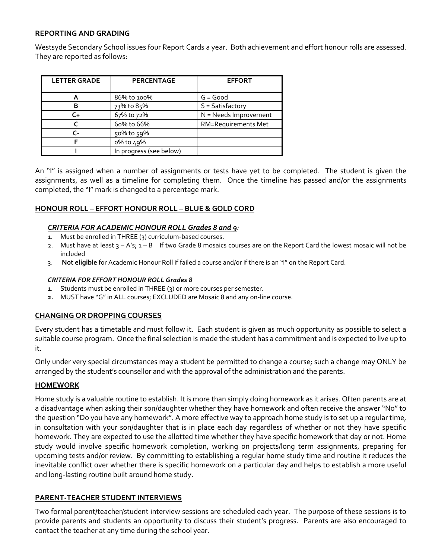# **REPORTING AND GRADING**

Westsyde Secondary School issues four Report Cards a year. Both achievement and effort honour rolls are assessed. They are reported as follows:

| <b>LETTER GRADE</b> | <b>PERCENTAGE</b>       | <b>EFFORT</b>              |
|---------------------|-------------------------|----------------------------|
|                     | 86% to 100%             | $G = Good$                 |
| В                   | 73% to 85%              | $S = Satisfactory$         |
| C+                  | 67% to 72%              | N = Needs Improvement      |
|                     | 60% to 66%              | <b>RM=Requirements Met</b> |
| r -                 | 50% to 59%              |                            |
|                     | 0% to 49%               |                            |
|                     | In progress (see below) |                            |

An "I" is assigned when a number of assignments or tests have yet to be completed. The student is given the assignments, as well as a timeline for completing them. Once the timeline has passed and/or the assignments completed, the "I" mark is changed to a percentage mark.

#### **HONOUR ROLL – EFFORT HONOUR ROLL – BLUE & GOLD CORD**

#### *CRITERIA FOR ACADEMIC HONOUR ROLL Grades 8 and 9:*

- 1. Must be enrolled in THREE (3) curriculum-based courses.
- 2. Must have at least  $3 A's$ ;  $1 B$  If two Grade 8 mosaics courses are on the Report Card the lowest mosaic will not be included
- 3. **Not eligible** for Academic Honour Roll if failed a course and/or if there is an "I" on the Report Card.

#### *CRITERIA FOR EFFORT HONOUR ROLL Grades 8*

- 1. Students must be enrolled in THREE (3) or more courses per semester.
- **2.** MUST have "G" in ALL courses; EXCLUDED are Mosaic 8 and any on-line course.

# **CHANGING OR DROPPING COURSES**

Every student has a timetable and must follow it. Each student is given as much opportunity as possible to select a suitable course program. Once the final selection is made the student has a commitment and is expected to live up to it.

Only under very special circumstances may a student be permitted to change a course; such a change may ONLY be arranged by the student's counsellor and with the approval of the administration and the parents.

# **HOMEWORK**

Home study is a valuable routine to establish. It is more than simply doing homework as it arises. Often parents are at a disadvantage when asking their son/daughter whether they have homework and often receive the answer "No" to the question "Do you have any homework". A more effective way to approach home study is to set up a regular time, in consultation with your son/daughter that is in place each day regardless of whether or not they have specific homework. They are expected to use the allotted time whether they have specific homework that day or not. Home study would involve specific homework completion, working on projects/long term assignments, preparing for upcoming tests and/or review. By committing to establishing a regular home study time and routine it reduces the inevitable conflict over whether there is specific homework on a particular day and helps to establish a more useful and long-lasting routine built around home study.

# **PARENT-TEACHER STUDENT INTERVIEWS**

Two formal parent/teacher/student interview sessions are scheduled each year. The purpose of these sessions is to provide parents and students an opportunity to discuss their student's progress. Parents are also encouraged to contact the teacher at any time during the school year.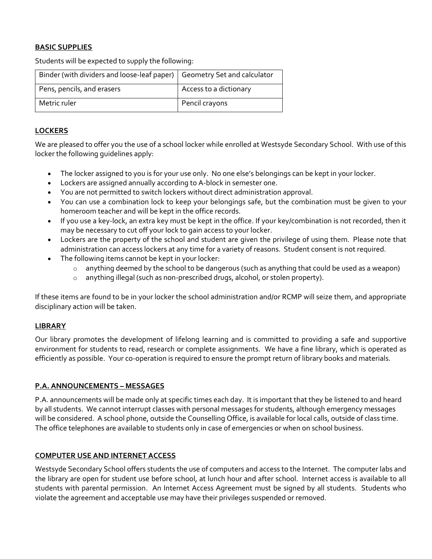# **BASIC SUPPLIES**

Students will be expected to supply the following:

| Binder (with dividers and loose-leaf paper)   Geometry Set and calculator |                        |
|---------------------------------------------------------------------------|------------------------|
| Pens, pencils, and erasers                                                | Access to a dictionary |
| Metric ruler                                                              | Pencil crayons         |

# **LOCKERS**

We are pleased to offer you the use of a school locker while enrolled at Westsyde Secondary School. With use of this locker the following guidelines apply:

- The locker assigned to you is for your use only. No one else's belongings can be kept in your locker.
- Lockers are assigned annually according to A-block in semester one.
- You are not permitted to switch lockers without direct administration approval.
- You can use a combination lock to keep your belongings safe, but the combination must be given to your homeroom teacher and will be kept in the office records.
- If you use a key-lock, an extra key must be kept in the office. If your key/combination is not recorded, then it may be necessary to cut off your lock to gain access to your locker.
- Lockers are the property of the school and student are given the privilege of using them. Please note that administration can access lockers at any time for a variety of reasons. Student consent is not required.
- The following items cannot be kept in your locker:
	- $\circ$  anything deemed by the school to be dangerous (such as anything that could be used as a weapon)
	- o anything illegal (such as non-prescribed drugs, alcohol, or stolen property).

If these items are found to be in your locker the school administration and/or RCMP will seize them, and appropriate disciplinary action will be taken.

# **LIBRARY**

Our library promotes the development of lifelong learning and is committed to providing a safe and supportive environment for students to read, research or complete assignments. We have a fine library, which is operated as efficiently as possible. Your co-operation is required to ensure the prompt return of library books and materials.

# **P.A. ANNOUNCEMENTS – MESSAGES**

P.A. announcements will be made only at specific times each day. It is important that they be listened to and heard by all students. We cannot interrupt classes with personal messages for students, although emergency messages will be considered. A school phone, outside the Counselling Office, is available for local calls, outside of class time. The office telephones are available to students only in case of emergencies or when on school business.

# **COMPUTER USE AND INTERNET ACCESS**

Westsyde Secondary School offers students the use of computers and access to the Internet. The computer labs and the library are open for student use before school, at lunch hour and after school. Internet access is available to all students with parental permission. An Internet Access Agreement must be signed by all students. Students who violate the agreement and acceptable use may have their privileges suspended or removed.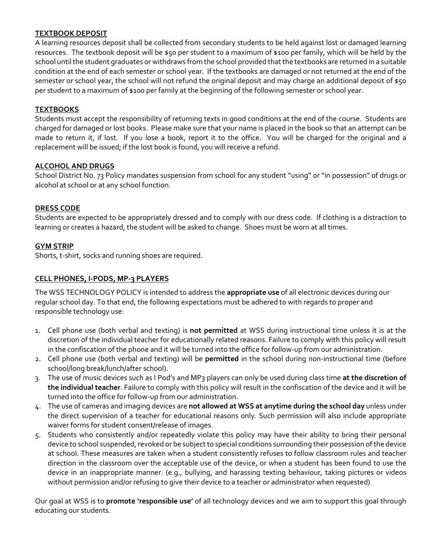# **TEXTBOOK DEPOSIT**

A learning resources deposit shall be collected from secondary students to be held against lost or damaged learning resources. The textbook deposit will be \$50 per student to a maximum of \$100 per family, which will be held by the school until the student graduates or withdraws from the school provided that the textbooks are returned in a suitable condition at the end of each semester or school year. If the textbooks are damaged or not returned at the end of the semester or school year, the school will not refund the original deposit and may charge an additional deposit of \$50 per student to a maximum of \$100 per family at the beginning of the following semester or school year.

# **TEXTBOOKS**

Students must accept the responsibility of returning texts in good conditions at the end of the course. Students are charged for damaged or lost books. Please make sure that your name is placed in the book so that an attempt can be made to return it, if lost. If you lose a book, report it to the office. You will be charged for the original and a replacement will be issued; if the lost book is found, you will receive a refund.

# **ALCOHOL AND DRUGS**

School District No. 73 Policy mandates suspension from school for any student "using" or "in possession" of drugs or alcohol at school or at any school function.

# **DRESS CODE**

Students are expected to be appropriately dressed and to comply with our dress code. If clothing is a distraction to learning or creates a hazard, the student will be asked to change. Shoes must be worn at all times.

# **GYM STRIP**

Shorts, t-shirt, socks and running shoes are required.

# **CELL PHONES, I-PODS, MP-3 PLAYERS**

The WSS TECHNOLOGY POLICY is intended to address the **appropriate use** of all electronic devices during our regular school day. To that end, the following expectations must be adhered to with regards to proper and responsible technology use:

- 1. Cell phone use (both verbal and texting) is **not permitted** at WSS during instructional time unless it is at the discretion of the individual teacher for educationally related reasons. Failure to comply with this policy will result in the confiscation of the phone and it will be turned into the office for follow-up from our administration.
- 2. Cell phone use (both verbal and texting) will be **permitted** in the school during non-instructional time (before school/long break/lunch/after school).
- 3. The use of music devices such as I Pod's and MP3 players can only be used during class time **at the discretion of the individual teacher**. Failure to comply with this policy will result in the confiscation of the device and it will be turned into the office for follow-up from our administration.
- 4. The use of cameras and imaging devices are **not allowed at WSS at anytime during the school day** unless under the direct supervision of a teacher for educational reasons only. Such permission will also include appropriate waiver forms for student consent/release of images.
- 5. Students who consistently and/or repeatedly violate this policy may have their ability to bring their personal device to school suspended, revoked or be subject to special conditions surrounding their possession of the device at school. These measures are taken when a student consistently refuses to follow classroom rules and teacher direction in the classroom over the acceptable use of the device, or when a student has been found to use the device in an inappropriate manner. (e.g., bullying, and harassing texting behaviour, taking pictures or videos without permission and/or refusing to give their device to a teacher or administrator when requested)

Our goal at WSS is to **promote 'responsible use'** of all technology devices and we aim to support this goal through educating our students.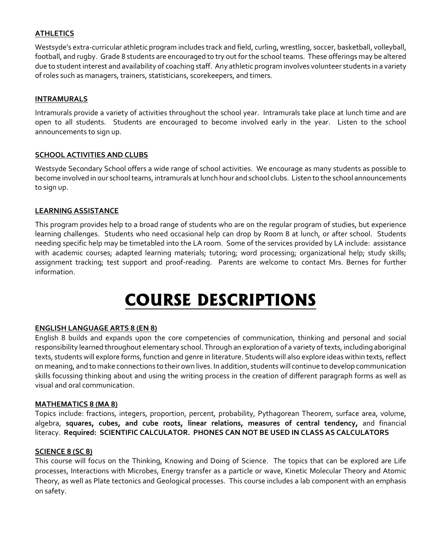# **ATHLETICS**

Westsyde's extra-curricular athletic program includes track and field, curling, wrestling, soccer, basketball, volleyball, football, and rugby. Grade 8 students are encouraged to try out for the school teams. These offerings may be altered due to student interest and availability of coaching staff. Any athletic program involves volunteer students in a variety of roles such as managers, trainers, statisticians, scorekeepers, and timers.

# **INTRAMURALS**

Intramurals provide a variety of activities throughout the school year. Intramurals take place at lunch time and are open to all students. Students are encouraged to become involved early in the year. Listen to the school announcements to sign up.

# **SCHOOL ACTIVITIES AND CLUBS**

Westsyde Secondary School offers a wide range of school activities. We encourage as many students as possible to become involved in our school teams, intramurals at lunch hour and school clubs. Listen to the school announcements to sign up.

#### **LEARNING ASSISTANCE**

This program provides help to a broad range of students who are on the regular program of studies, but experience learning challenges. Students who need occasional help can drop by Room 8 at lunch, or after school. Students needing specific help may be timetabled into the LA room. Some of the services provided by LA include: assistance with academic courses; adapted learning materials; tutoring; word processing; organizational help; study skills; assignment tracking; test support and proof-reading. Parents are welcome to contact Mrs. Bernes for further information.

# **COURSE DESCRIPTIONS**

# **ENGLISH LANGUAGE ARTS 8 (EN 8)**

English 8 builds and expands upon the core competencies of communication, thinking and personal and social responsibility learned throughout elementary school. Through an exploration of a variety of texts, including aboriginal texts, students will explore forms, function and genre in literature. Students will also explore ideas within texts, reflect on meaning, and to make connections to their own lives. In addition, students will continue to develop communication skills focussing thinking about and using the writing process in the creation of different paragraph forms as well as visual and oral communication.

#### **MATHEMATICS 8 (MA 8)**

Topics include: fractions, integers, proportion, percent, probability, Pythagorean Theorem, surface area, volume, algebra, **squares, cubes, and cube roots, linear relations, measures of central tendency,** and financial literacy. **Required: SCIENTIFIC CALCULATOR. PHONES CAN NOT BE USED IN CLASS AS CALCULATORS**

#### **SCIENCE 8 (SC 8)**

This course will focus on the Thinking, Knowing and Doing of Science. The topics that can be explored are Life processes, Interactions with Microbes, Energy transfer as a particle or wave, Kinetic Molecular Theory and Atomic Theory, as well as Plate tectonics and Geological processes. This course includes a lab component with an emphasis on safety.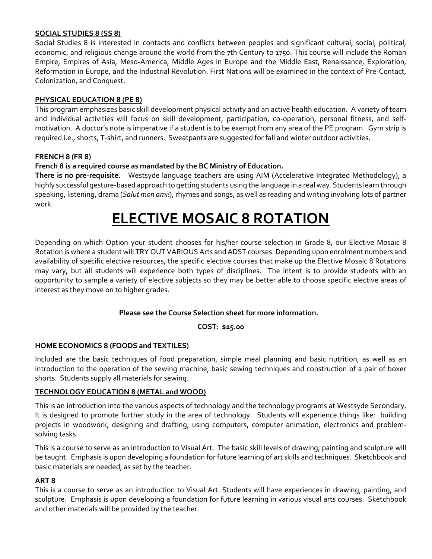# **SOCIAL STUDIES 8 (SS 8)**

Social Studies 8 is interested in contacts and conflicts between peoples and significant cultural, social, political, economic, and religious change around the world from the 7th Century to 1750. This course will include the Roman Empire, Empires of Asia, Meso**-**America, Middle Ages in Europe and the Middle East, Renaissance, Exploration, Reformation in Europe, and the Industrial Revolution. First Nations will be examined in the context of Pre-Contact, Colonization, and Conquest.

# **PHYSICAL EDUCATION 8 (PE 8)**

This program emphasizes basic skill development physical activity and an active health education. A variety of team and individual activities will focus on skill development, participation, co-operation, personal fitness, and selfmotivation. A doctor's note is imperative if a student is to be exempt from any area of the PE program. Gym strip is required i.e., shorts, T-shirt, and runners. Sweatpants are suggested for fall and winter outdoor activities.

# **FRENCH 8 (FR 8)**

# **French 8 is a required course as mandated by the BC Ministry of Education.**

**There is no pre-requisite.** Westsyde language teachers are using AIM (Accelerative Integrated Methodology), a highly successful gesture-based approach to getting students using the language in a real way. Students learn through speaking, listening, drama (*Salut mon ami!*), rhymes and songs, as well as reading and writing involving lots of partner work.

# **ELECTIVE MOSAIC 8 ROTATION**

Depending on which Option your student chooses for his/her course selection in Grade 8, our Elective Mosaic 8 Rotation is where a student will TRY OUT VARIOUS Arts and ADST courses. Depending upon enrolment numbers and availability of specific elective resources, the specific elective courses that make up the Elective Mosaic 8 Rotations may vary, but all students will experience both types of disciplines. The intent is to provide students with an opportunity to sample a variety of elective subjects so they may be better able to choose specific elective areas of interest as they move on to higher grades.

# **Please see the Course Selection sheet for more information.**

**COST: \$15.00**

# **HOME ECONOMICS 8 (FOODS and TEXTILES)**

Included are the basic techniques of food preparation, simple meal planning and basic nutrition, as well as an introduction to the operation of the sewing machine, basic sewing techniques and construction of a pair of boxer shorts. Students supply all materials for sewing.

# **TECHNOLOGY EDUCATION 8 (METAL and WOOD)**

This is an introduction into the various aspects of technology and the technology programs at Westsyde Secondary. It is designed to promote further study in the area of technology. Students will experience things like: building projects in woodwork, designing and drafting, using computers, computer animation, electronics and problemsolving tasks.

This is a course to serve as an introduction to Visual Art. The basic skill levels of drawing, painting and sculpture will be taught. Emphasis is upon developing a foundation for future learning of art skills and techniques. Sketchbook and basic materials are needed, as set by the teacher.

#### **ART 8**

This is a course to serve as an introduction to Visual Art. Students will have experiences in drawing, painting, and sculpture. Emphasis is upon developing a foundation for future learning in various visual arts courses. Sketchbook and other materials will be provided by the teacher.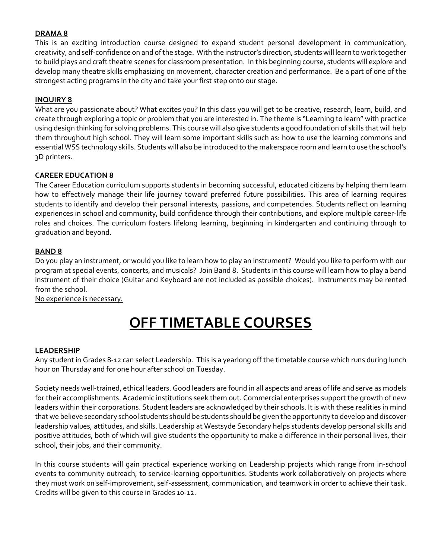# **DRAMA 8**

This is an exciting introduction course designed to expand student personal development in communication, creativity, and self-confidence on and of the stage. With the instructor's direction, students will learn to work together to build plays and craft theatre scenes for classroom presentation. In this beginning course, students will explore and develop many theatre skills emphasizing on movement, character creation and performance. Be a part of one of the strongest acting programs in the city and take your first step onto our stage.

#### **INQUIRY 8**

What are you passionate about? What excites you? In this class you will get to be creative, research, learn, build, and create through exploring a topic or problem that you are interested in. The theme is "Learning to learn" with practice using design thinking for solving problems. This course will also give students a good foundation of skills that will help them throughout high school. They will learn some important skills such as: how to use the learning commons and essential WSS technology skills. Students will also be introduced to the makerspace room and learn to use the school's 3D printers.

#### **CAREER EDUCATION 8**

The Career Education curriculum supports students in becoming successful, educated citizens by helping them learn how to effectively manage their life journey toward preferred future possibilities. This area of learning requires students to identify and develop their personal interests, passions, and competencies. Students reflect on learning experiences in school and community, build confidence through their contributions, and explore multiple career-life roles and choices. The curriculum fosters lifelong learning, beginning in kindergarten and continuing through to graduation and beyond.

#### **BAND 8**

Do you play an instrument, or would you like to learn how to play an instrument? Would you like to perform with our program at special events, concerts, and musicals? Join Band 8. Students in this course will learn how to play a band instrument of their choice (Guitar and Keyboard are not included as possible choices). Instruments may be rented from the school.

No experience is necessary.

# **OFF TIMETABLE COURSES**

#### **LEADERSHIP**

Any student in Grades 8-12 can select Leadership. This is a yearlong off the timetable course which runs during lunch hour on Thursday and for one hour after school on Tuesday.

Society needs well-trained, ethical leaders. Good leaders are found in all aspects and areas of life and serve as models for their accomplishments. Academic institutions seek them out. Commercial enterprises support the growth of new leaders within their corporations. Student leaders are acknowledged by their schools. It is with these realities in mind that we believe secondary school students should be students should be given the opportunity to develop and discover leadership values, attitudes, and skills. Leadership at Westsyde Secondary helps students develop personal skills and positive attitudes, both of which will give students the opportunity to make a difference in their personal lives, their school, their jobs, and their community.

In this course students will gain practical experience working on Leadership projects which range from in-school events to community outreach, to service-learning opportunities. Students work collaboratively on projects where they must work on self-improvement, self-assessment, communication, and teamwork in order to achieve their task. Credits will be given to this course in Grades 10-12.